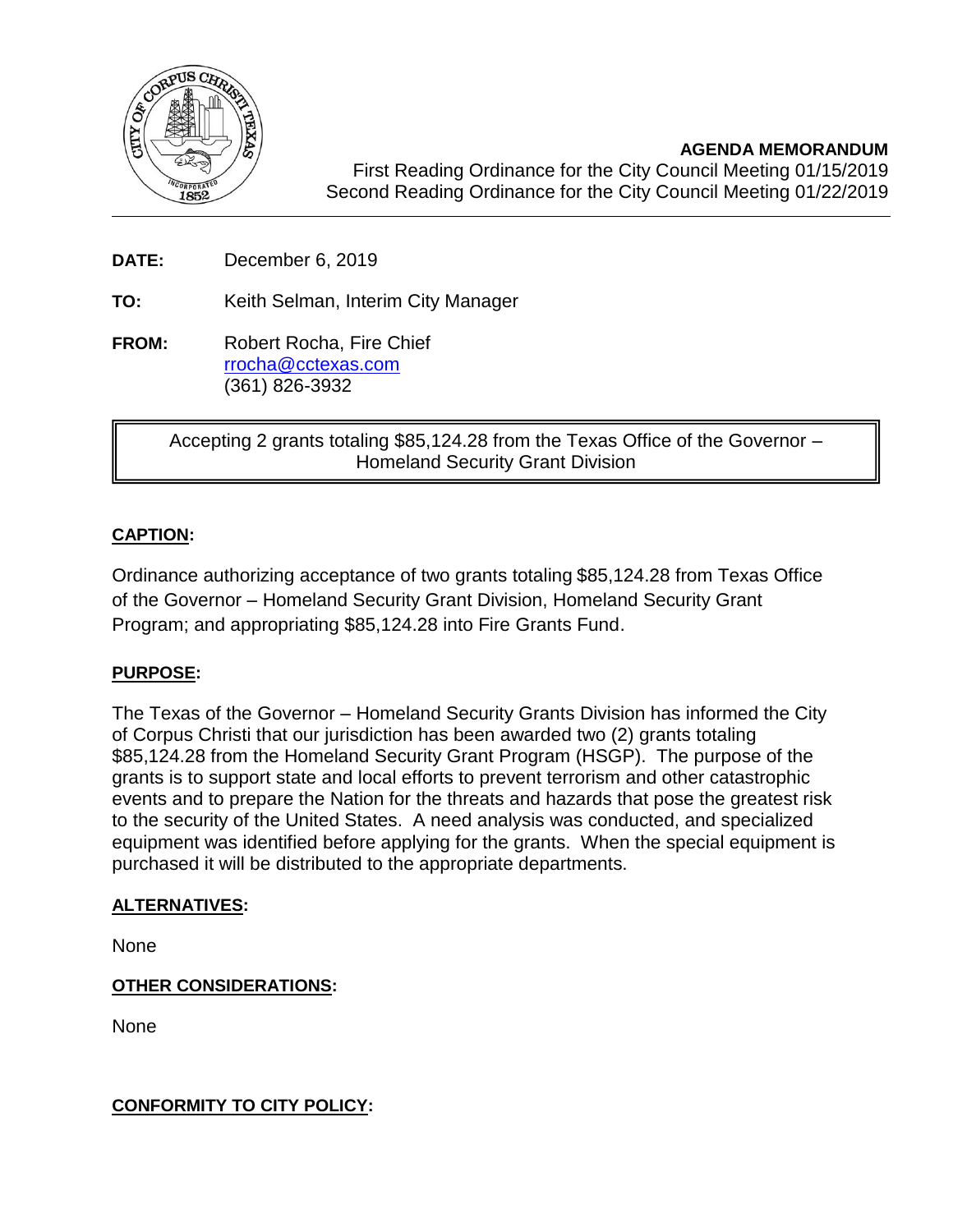

**AGENDA MEMORANDUM**

 First Reading Ordinance for the City Council Meeting 01/15/2019 Second Reading Ordinance for the City Council Meeting 01/22/2019

**DATE:** December 6, 2019

**TO:** Keith Selman, Interim City Manager

**FROM:** Robert Rocha, Fire Chief [rrocha@cctexas.com](mailto:rrocha@cctexas.com) (361) 826-3932

> Accepting 2 grants totaling \$85,124.28 from the Texas Office of the Governor – Homeland Security Grant Division

# **CAPTION:**

Ī

Ordinance authorizing acceptance of two grants totaling \$85,124.28 from Texas Office of the Governor – Homeland Security Grant Division, Homeland Security Grant Program; and appropriating \$85,124.28 into Fire Grants Fund.

## **PURPOSE:**

The Texas of the Governor – Homeland Security Grants Division has informed the City of Corpus Christi that our jurisdiction has been awarded two (2) grants totaling \$85,124.28 from the Homeland Security Grant Program (HSGP). The purpose of the grants is to support state and local efforts to prevent terrorism and other catastrophic events and to prepare the Nation for the threats and hazards that pose the greatest risk to the security of the United States. A need analysis was conducted, and specialized equipment was identified before applying for the grants. When the special equipment is purchased it will be distributed to the appropriate departments.

## **ALTERNATIVES:**

None

## **OTHER CONSIDERATIONS:**

None

**CONFORMITY TO CITY POLICY:**